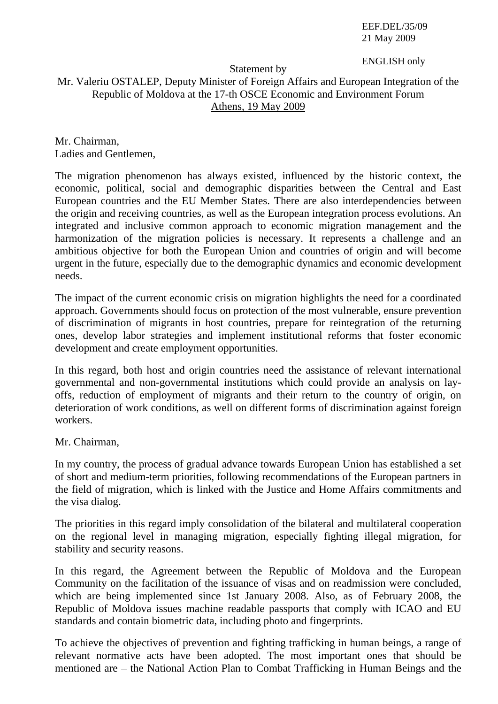EEF.DEL/35/09 21 May 2009

## ENGLISH only

## Statement by

## Mr. Valeriu OSTALEP, Deputy Minister of Foreign Affairs and European Integration of the Republic of Moldova at the 17-th OSCE Economic and Environment Forum Athens, 19 May 2009

Mr. Chairman, Ladies and Gentlemen,

The migration phenomenon has always existed, influenced by the historic context, the economic, political, social and demographic disparities between the Central and East European countries and the EU Member States. There are also interdependencies between the origin and receiving countries, as well as the European integration process evolutions. An integrated and inclusive common approach to economic migration management and the harmonization of the migration policies is necessary. It represents a challenge and an ambitious objective for both the European Union and countries of origin and will become urgent in the future, especially due to the demographic dynamics and economic development needs.

The impact of the current economic crisis on migration highlights the need for a coordinated approach. Governments should focus on protection of the most vulnerable, ensure prevention of discrimination of migrants in host countries, prepare for reintegration of the returning ones, develop labor strategies and implement institutional reforms that foster economic development and create employment opportunities.

In this regard, both host and origin countries need the assistance of relevant international governmental and non-governmental institutions which could provide an analysis on layoffs, reduction of employment of migrants and their return to the country of origin, on deterioration of work conditions, as well on different forms of discrimination against foreign workers.

Mr. Chairman,

In my country, the process of gradual advance towards European Union has established a set of short and medium-term priorities, following recommendations of the European partners in the field of migration, which is linked with the Justice and Home Affairs commitments and the visa dialog.

The priorities in this regard imply consolidation of the bilateral and multilateral cooperation on the regional level in managing migration, especially fighting illegal migration, for stability and security reasons.

In this regard, the Agreement between the Republic of Moldova and the European Community on the facilitation of the issuance of visas and on readmission were concluded, which are being implemented since 1st January 2008. Also, as of February 2008, the Republic of Moldova issues machine readable passports that comply with ICAO and EU standards and contain biometric data, including photo and fingerprints.

To achieve the objectives of prevention and fighting trafficking in human beings, a range of relevant normative acts have been adopted. The most important ones that should be mentioned are – the National Action Plan to Combat Trafficking in Human Beings and the